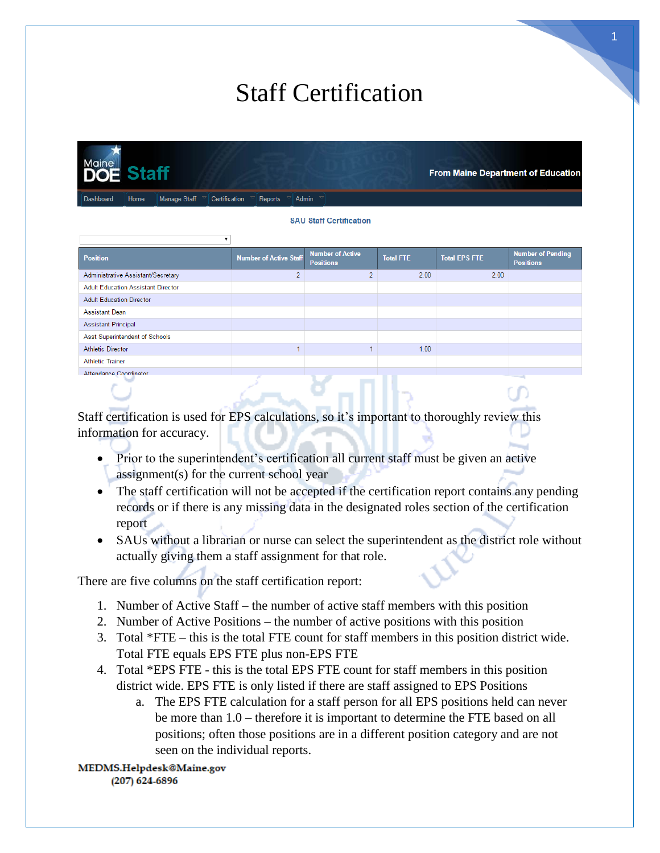# Staff Certification

**From Maine Department of Education** 

Manage Staff Certification Reports Admin

#### **SAU Staff Certification**

| <b>Position</b>                           | <b>Number of Active Staff</b> | <b>Number of Active</b><br><b>Positions</b> | <b>Total FTE</b> | <b>Total EPS FTE</b> | <b>Number of Pending</b><br><b>Positions</b> |
|-------------------------------------------|-------------------------------|---------------------------------------------|------------------|----------------------|----------------------------------------------|
| Administrative Assistant/Secretary        | $\overline{2}$                | h                                           | 2.00             | 2.00                 |                                              |
| <b>Adult Education Assistant Director</b> |                               |                                             |                  |                      |                                              |
| <b>Adult Education Director</b>           |                               |                                             |                  |                      |                                              |
| <b>Assistant Dean</b>                     |                               |                                             |                  |                      |                                              |
| <b>Assistant Principal</b>                |                               |                                             |                  |                      |                                              |
| Asst Superintendent of Schools            |                               |                                             |                  |                      |                                              |
| <b>Athletic Director</b>                  |                               |                                             | 1.00             |                      |                                              |
| <b>Athletic Trainer</b>                   |                               |                                             |                  |                      |                                              |
| Attendance Coordinator                    |                               |                                             |                  |                      |                                              |
|                                           |                               |                                             |                  |                      |                                              |

Staff certification is used for EPS calculations, so it's important to thoroughly review this information for accuracy.

- Prior to the superintendent's certification all current staff must be given an active assignment(s) for the current school year
- The staff certification will not be accepted if the certification report contains any pending records or if there is any missing data in the designated roles section of the certification report
- SAUs without a librarian or nurse can select the superintendent as the district role without actually giving them a staff assignment for that role.

There are five columns on the staff certification report:

- 1. Number of Active Staff the number of active staff members with this position
- 2. Number of Active Positions the number of active positions with this position
- 3. Total \*FTE this is the total FTE count for staff members in this position district wide. Total FTE equals EPS FTE plus non-EPS FTE
- 4. Total \*EPS FTE this is the total EPS FTE count for staff members in this position district wide. EPS FTE is only listed if there are staff assigned to EPS Positions
	- a. The EPS FTE calculation for a staff person for all EPS positions held can never be more than 1.0 – therefore it is important to determine the FTE based on all positions; often those positions are in a different position category and are not seen on the individual reports.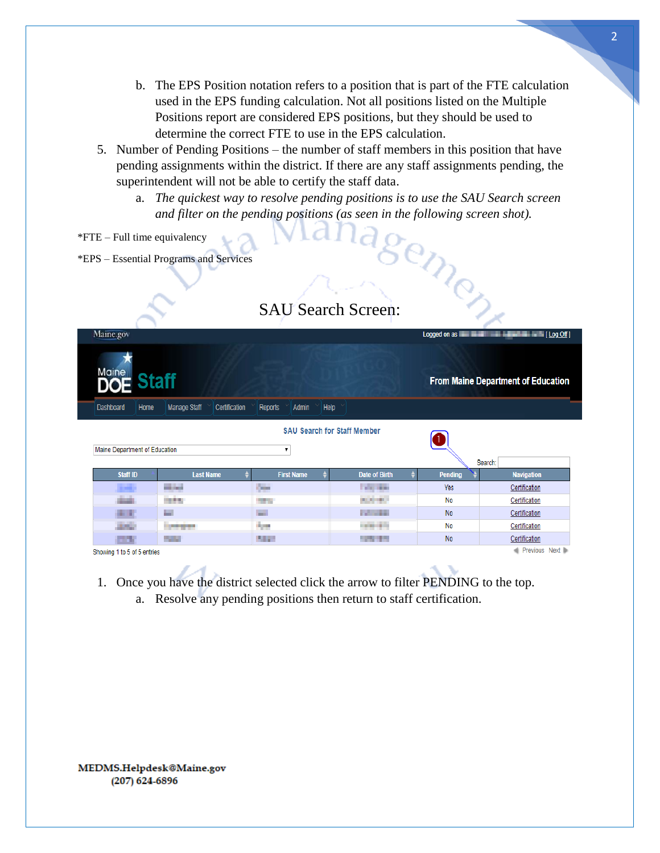- b. The EPS Position notation refers to a position that is part of the FTE calculation used in the EPS funding calculation. Not all positions listed on the Multiple Positions report are considered EPS positions, but they should be used to determine the correct FTE to use in the EPS calculation.
- 5. Number of Pending Positions the number of staff members in this position that have pending assignments within the district. If there are any staff assignments pending, the superintendent will not be able to certify the staff data.
	- a. *The quickest way to resolve pending positions is to use the SAU Search screen and filter on the pending positions (as seen in the following screen shot).*
- \*FTE Full time equivalency
- \*EPS Essential Programs and Services

|                               |                                      | <b>SAU Search Screen:</b>               |                      |                |                                           |
|-------------------------------|--------------------------------------|-----------------------------------------|----------------------|----------------|-------------------------------------------|
| Maine.gov                     |                                      |                                         |                      | Logged on as   | <b>Example: The Example 1</b> (Log Off)   |
| Mainelle Staff                |                                      |                                         |                      |                | <b>From Maine Department of Education</b> |
| Dashboard<br>Home             | <b>Manage Staff</b><br>Certification | Help<br>Reports<br>Admin                |                      |                |                                           |
| Maine Department of Education |                                      | <b>SAU Search for Staff Member</b><br>7 |                      |                | Search:                                   |
| Staff ID                      | <b>Last Name</b>                     | <b>First Name</b>                       | <b>Date of Birth</b> | <b>Pending</b> | <b>Navigation</b>                         |
| . .                           | <b>Miller</b><br>.                   | <b>Contract</b>                         | <b>COLLEGE</b>       | Yes            | Certification                             |
| diam'r.                       | <b>START</b>                         | <b>The State</b>                        | <b>ALCOHOL</b>       | No             | Certification                             |
| . .                           | e.                                   | m.                                      | <b>College</b>       | <b>No</b>      | Certification                             |
| <b>ALCOHOL:</b>               | <b>STATISTICS</b>                    | <b>April</b>                            | <b>CONTRACTOR</b>    | No             | Certification                             |
|                               | 75 M                                 | <b>STATE</b>                            | <b>STATISTICS</b>    | <b>No</b>      | Certification                             |
| Showing 1 to 5 of 5 entries   |                                      |                                         |                      |                | Previous Next                             |

- 1. Once you have the district selected click the arrow to filter PENDING to the top.
	- a. Resolve any pending positions then return to staff certification.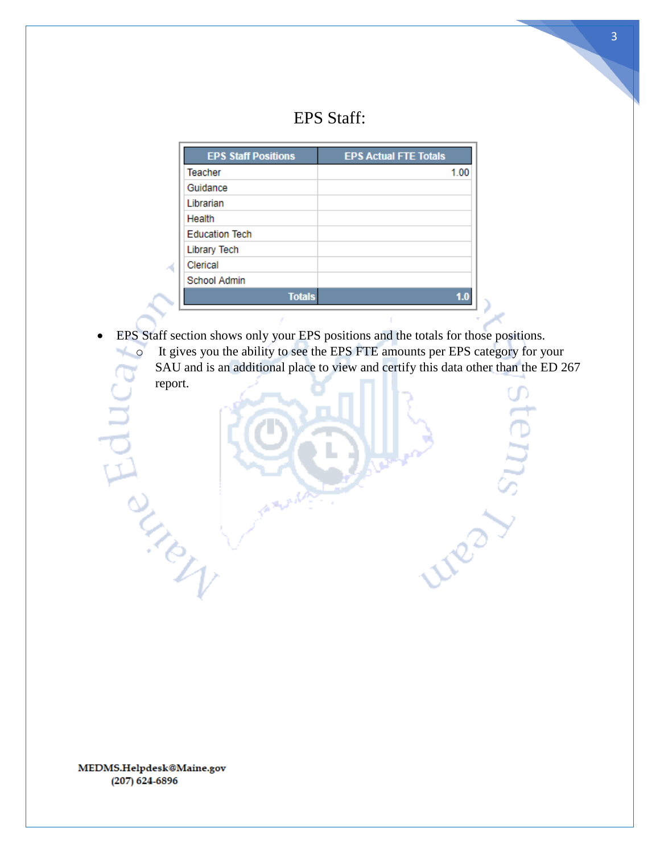### EPS Staff:

| <b>EPS Staff Positions</b> | <b>EPS Actual FTE Totals</b> |
|----------------------------|------------------------------|
| <b>Teacher</b>             | 1.00                         |
| Guidance                   |                              |
| Librarian                  |                              |
| Health                     |                              |
| <b>Education Tech</b>      |                              |
| <b>Library Tech</b>        |                              |
| Clerical                   |                              |
| School Admin               |                              |
| <b>Totals</b>              |                              |

• EPS Staff section shows only your EPS positions and the totals for those positions. o It gives you the ability to see the EPS FTE amounts per EPS category for your SAU and is an additional place to view and certify this data other than the ED 267 report.

**Neg** 

MEDMS.Helpdesk@Maine.gov  $(207)$  624-6896

A DE MERIDA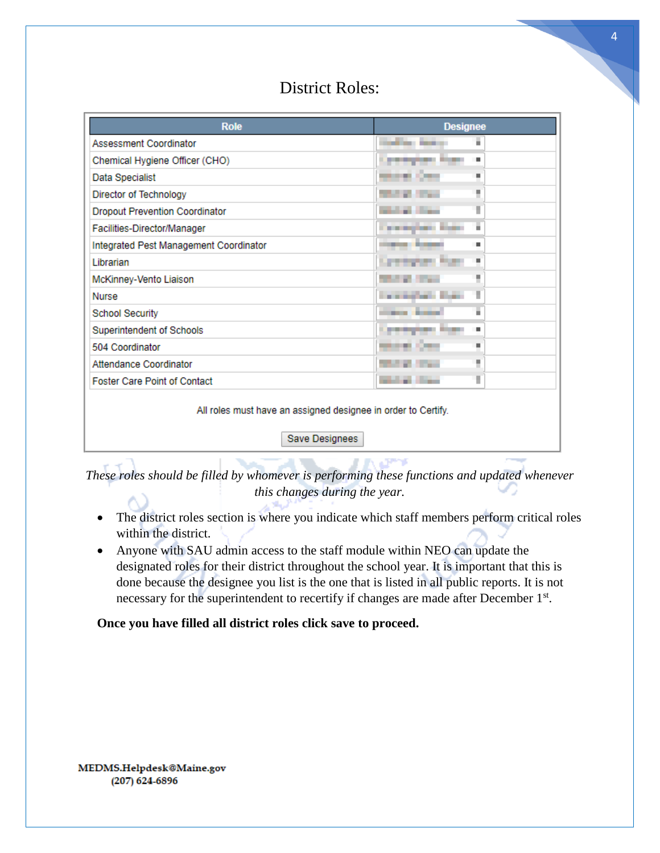### District Roles:

| <b>Role</b>                                                   | <b>Designee</b>            |
|---------------------------------------------------------------|----------------------------|
| Assessment Coordinator                                        | all by the part<br>٠       |
| Chemical Hygiene Officer (CHO)                                | <b>STATISTICS</b>          |
| Data Specialist                                               | ٠                          |
| Director of Technology                                        | ٠                          |
| <b>Dropout Prevention Coordinator</b>                         | Ŧ                          |
| Facilities-Director/Manager                                   | complete from<br>٠         |
| Integrated Pest Management Coordinator                        | ٠                          |
| Librarian                                                     | <b>TENNIS PAR</b><br>٠     |
| McKinney-Vento Liaison                                        | ٠                          |
| <b>Nurse</b>                                                  | consider their<br>H        |
| <b>School Security</b>                                        | ٠                          |
| Superintendent of Schools                                     | ٠<br>a a<br>a kalendar     |
| 504 Coordinator                                               | <b>COLOR</b><br>٠          |
| Attendance Coordinator                                        | ٠                          |
| <b>Foster Care Point of Contact</b>                           | <b>Address Street</b><br>ı |
| All roles must have an assigned designee in order to Certify. |                            |

Save Designees

*These roles should be filled by whomever is performing these functions and updated whenever this changes during the year.*

- The district roles section is where you indicate which staff members perform critical roles within the district.
- Anyone with SAU admin access to the staff module within NEO can update the designated roles for their district throughout the school year. It is important that this is done because the designee you list is the one that is listed in all public reports. It is not necessary for the superintendent to recertify if changes are made after December 1<sup>st</sup>.

**Once you have filled all district roles click save to proceed.**